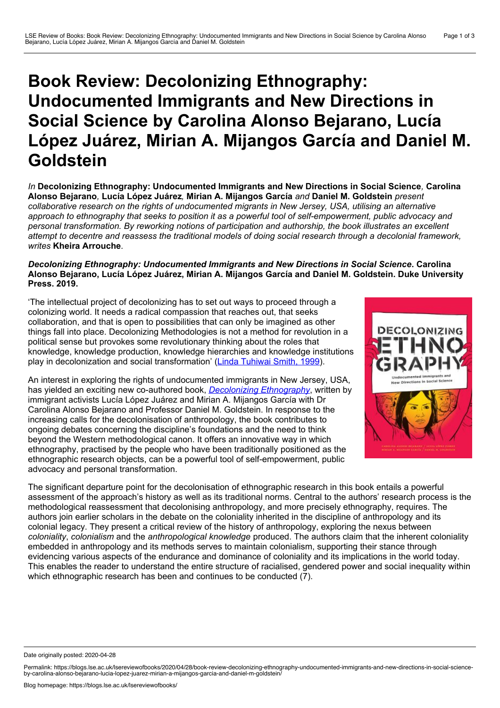## **Book Review: Decolonizing Ethnography: Undocumented Immigrants and New Directions in Social Science by Carolina Alonso Bejarano, Lucía López Juárez, Mirian A. Mijangos García and Daniel M. Goldstein**

*In* **Decolonizing Ethnography: Undocumented Immigrants and New Directions in Social Science***,* **Carolina Alonso Bejarano***,* **Lucía López Juárez***,* **Mirian A. Mijangos García** *and* **Daniel M. Goldstein** *present collaborative research on the rights of undocumented migrants in New Jersey, USA, utilising an alternative* approach to ethnography that seeks to position it as a powerful tool of self-empowerment, public advocacy and *personal transformation. By reworking notions of participation and authorship, the book illustrates an excellent attempt to decentre and reassess the traditional models of doing social research through a decolonial framework, writes* **Kheira Arrouche***.*

## *Decolonizing Ethnography: Undocumented Immigrants and New Directions in Social Science***. Carolina Alonso Bejarano, Lucía López Juárez, Mirian A. Mijangos García and Daniel M. Goldstein. Duke University Press. 2019.**

'The intellectual project of decolonizing has to set out ways to proceed through a colonizing world. It needs a radical compassion that reaches out, that seeks collaboration, and that is open to possibilities that can only be imagined as other things fall into place. Decolonizing Methodologies is not a method for revolution in a political sense but provokes some revolutionary thinking about the roles that knowledge, knowledge production, knowledge hierarchies and knowledge institutions play in decolonization and social transformation' (Linda [Tuhiwai](https://www.royalsociety.org.nz/150th-anniversary/tetakarangi/decolonizing-methodologieslinda-tuhiwai-smith-1999) Smith, 1999).

An interest in exploring the rights of undocumented immigrants in New Jersey, USA, has yielded an exciting new co-authored book, *[Decolonizing](https://www.dukeupress.edu/decolonizing-ethnography) Ethnography*, written by immigrant activists Lucía López Juárez and Mirian A. Mijangos García with Dr Carolina Alonso Bejarano and Professor Daniel M. Goldstein. In response to the increasing calls for the decolonisation of anthropology, the book contributes to ongoing debates concerning the discipline's foundations and the need to think beyond the Western methodological canon. It offers an innovative way in which ethnography, practised by the people who have been traditionally positioned as the ethnographic research objects, can be a powerful tool of self-empowerment, public advocacy and personal transformation.



The significant departure point for the decolonisation of ethnographic research in this book entails a powerful assessment of the approach's history as well as its traditional norms. Central to the authors' research process is the methodological reassessment that decolonising anthropology, and more precisely ethnography, requires. The authors join earlier scholars in the debate on the coloniality inherited in the discipline of anthropology and its colonial legacy. They present a critical review of the history of anthropology, exploring the nexus between *coloniality*, *colonialism* and the *anthropological knowledge* produced. The authors claim that the inherent coloniality embedded in anthropology and its methods serves to maintain colonialism, supporting their stance through evidencing various aspects of the endurance and dominance of coloniality and its implications in the world today. This enables the reader to understand the entire structure of racialised, gendered power and social inequality within which ethnographic research has been and continues to be conducted (7).

Date originally posted: 2020-04-28

Permalink: https://blogs.lse.ac.uk/lsereviewofbooks/2020/04/28/book-review-decolonizing-ethnography-undocumented-immigrants-and-new-directions-in-social-science-<br>by-carolina-alonso-bejarano-lucia-lopez-juarez-mirian-a-mija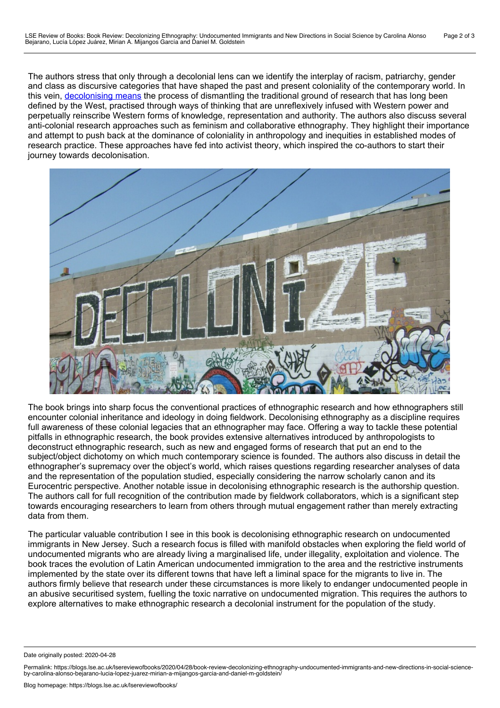The authors stress that only through a decolonial lens can we identify the interplay of racism, patriarchy, gender and class as discursive categories that have shaped the past and present coloniality of the contemporary world. In this vein, [decolonising](https://www.zedbooks.net/shop/book/decolonizing-methodologies/) means the process of dismantling the traditional ground of research that has long been defined by the West, practised through ways of thinking that are unreflexively infused with Western power and perpetually reinscribe Western forms of knowledge, representation and authority. The authors also discuss several anti-colonial research approaches such as feminism and collaborative ethnography. They highlight their importance and attempt to push back at the dominance of coloniality in anthropology and inequities in established modes of research practice. These approaches have fed into activist theory, which inspired the co-authors to start their journey towards decolonisation.



The book brings into sharp focus the conventional practices of ethnographic research and how ethnographers still encounter colonial inheritance and ideology in doing fieldwork. Decolonising ethnography as a discipline requires full awareness of these colonial legacies that an ethnographer may face. Offering a way to tackle these potential pitfalls in ethnographic research, the book provides extensive alternatives introduced by anthropologists to deconstruct ethnographic research, such as new and engaged forms of research that put an end to the subject/object dichotomy on which much contemporary science is founded. The authors also discuss in detail the ethnographer's supremacy over the object's world, which raises questions regarding researcher analyses of data and the representation of the population studied, especially considering the narrow scholarly canon and its Eurocentric perspective. Another notable issue in decolonising ethnographic research is the authorship question. The authors call for full recognition of the contribution made by fieldwork collaborators, which is a significant step towards encouraging researchers to learn from others through mutual engagement rather than merely extracting data from them.

The particular valuable contribution I see in this book is decolonising ethnographic research on undocumented immigrants in New Jersey. Such a research focus is filled with manifold obstacles when exploring the field world of undocumented migrants who are already living a marginalised life, under illegality, exploitation and violence. The book traces the evolution of Latin American undocumented immigration to the area and the restrictive instruments implemented by the state over its different towns that have left a liminal space for the migrants to live in. The authors firmly believe that research under these circumstances is more likely to endanger undocumented people in an abusive securitised system, fuelling the toxic narrative on undocumented migration. This requires the authors to explore alternatives to make ethnographic research a decolonial instrument for the population of the study.

Date originally posted: 2020-04-28

Permalink: https://blogs.lse.ac.uk/lsereviewofbooks/2020/04/28/book-review-decolonizing-ethnography-undocumented-immigrants-and-new-directions-in-social-science-<br>by-carolina-alonso-bejarano-lucia-lopez-juarez-mirian-a-mija